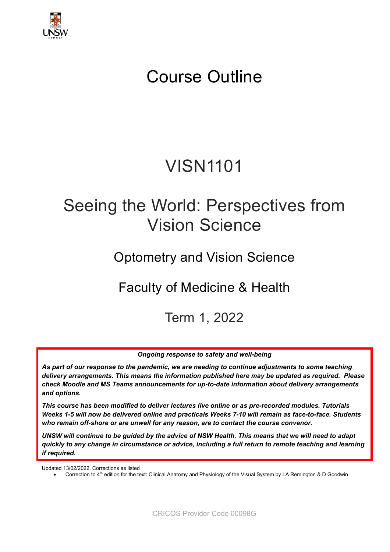

# Course Outline

# VISN1101

# Seeing the World: Perspectives from Vision Science

## Optometry and Vision Science

## Faculty of Medicine & Health

## Term 1, 2022

*Ongoing response to safety and well-being*

*As part of our response to the pandemic, we are needing to continue adjustments to some teaching delivery arrangements. This means the information published here may be updated as required. Please check Moodle and MS Teams announcements for up-to-date information about delivery arrangements and options.*

*This course has been modified to deliver lectures live online or as pre-recorded modules. Tutorials Weeks 1-5 will now be delivered online and practicals Weeks 7-10 will remain as face-to-face. Students who remain off-shore or are unwell for any reason, are to contact the course convenor.* 

*UNSW will continue to be guided by the advice of NSW Health. This means that we will need to adapt quickly to any change in circumstance or advice, including a full return to remote teaching and learning if required.*

Updated 13/02/2022. Corrections as listed

Correction to 4<sup>th</sup> edition for the text: Clinical Anatomy and Physiology of the Visual System by LA Remington & D Goodwin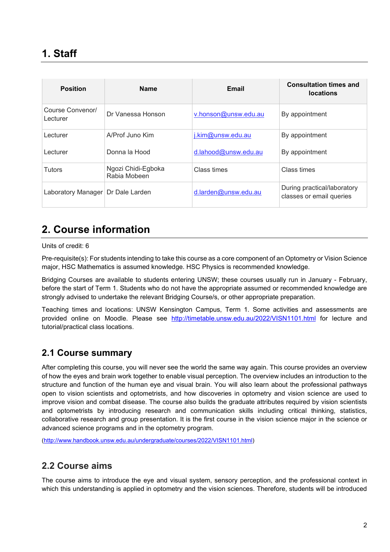| <b>Position</b>                     | <b>Name</b>                        | Email                   | <b>Consultation times and</b><br><b>locations</b>       |
|-------------------------------------|------------------------------------|-------------------------|---------------------------------------------------------|
| Course Convenor/<br>Lecturer        | Dr Vanessa Honson                  | v.honson@unsw.edu.au    | By appointment                                          |
| Lecturer                            | A/Prof Juno Kim                    | j.kim@unsw.edu.au       | By appointment                                          |
| Lecturer                            | Donna la Hood                      | $d$ .lahood@unsw.edu.au | By appointment                                          |
| <b>Tutors</b>                       | Ngozi Chidi-Egboka<br>Rabia Mobeen | Class times             | Class times                                             |
| Laboratory Manager   Dr Dale Larden |                                    | $d$ .larden@unsw.edu.au | During practical/laboratory<br>classes or email queries |

### **2. Course information**

Units of credit: 6

Pre-requisite(s): For students intending to take this course as a core component of an Optometry or Vision Science major, HSC Mathematics is assumed knowledge. HSC Physics is recommended knowledge.

Bridging Courses are available to students entering UNSW; these courses usually run in January - February, before the start of Term 1. Students who do not have the appropriate assumed or recommended knowledge are strongly advised to undertake the relevant Bridging Course/s, or other appropriate preparation.

Teaching times and locations: UNSW Kensington Campus, Term 1. Some activities and assessments are provided online on Moodle. Please see <http://timetable.unsw.edu.au/2022/VISN1101.html> for lecture and tutorial/practical class locations.

#### **2.1 Course summary**

After completing this course, you will never see the world the same way again. This course provides an overview of how the eyes and brain work together to enable visual perception. The overview includes an introduction to the structure and function of the human eye and visual brain. You will also learn about the professional pathways open to vision scientists and optometrists, and how discoveries in optometry and vision science are used to improve vision and combat disease. The course also builds the graduate attributes required by vision scientists and optometrists by introducing research and communication skills including critical thinking, statistics, collaborative research and group presentation. It is the first course in the vision science major in the science or advanced science programs and in the optometry program.

[\(http://www.handbook.unsw.edu.au/undergraduate/courses/2022/VISN1101.html\)](http://www.handbook.unsw.edu.au/undergraduate/courses/2022/VISN1101.html)

#### **2.2 Course aims**

The course aims to introduce the eye and visual system, sensory perception, and the professional context in which this understanding is applied in optometry and the vision sciences. Therefore, students will be introduced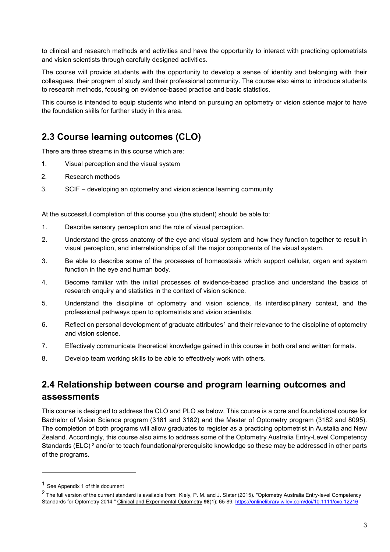to clinical and research methods and activities and have the opportunity to interact with practicing optometrists and vision scientists through carefully designed activities.

The course will provide students with the opportunity to develop a sense of identity and belonging with their colleagues, their program of study and their professional community. The course also aims to introduce students to research methods, focusing on evidence-based practice and basic statistics.

This course is intended to equip students who intend on pursuing an optometry or vision science major to have the foundation skills for further study in this area.

#### **2.3 Course learning outcomes (CLO)**

There are three streams in this course which are:

- 1. Visual perception and the visual system
- 2. Research methods
- 3. SCIF developing an optometry and vision science learning community

At the successful completion of this course you (the student) should be able to:

- 1. Describe sensory perception and the role of visual perception.
- 2. Understand the gross anatomy of the eye and visual system and how they function together to result in visual perception, and interrelationships of all the major components of the visual system.
- 3. Be able to describe some of the processes of homeostasis which support cellular, organ and system function in the eye and human body.
- 4. Become familiar with the initial processes of evidence-based practice and understand the basics of research enquiry and statistics in the context of vision science.
- 5. Understand the discipline of optometry and vision science, its interdisciplinary context, and the professional pathways open to optometrists and vision scientists.
- 6. Reflect on personal development of graduate attributes<sup>[1](#page-2-0)</sup> and their relevance to the discipline of optometry and vision science.
- 7. Effectively communicate theoretical knowledge gained in this course in both oral and written formats.
- 8. Develop team working skills to be able to effectively work with others.

#### **2.4 Relationship between course and program learning outcomes and assessments**

This course is designed to address the CLO and PLO as below. This course is a core and foundational course for Bachelor of Vision Science program (3181 and 3182) and the Master of Optometry program (3182 and 8095). The completion of both programs will allow graduates to register as a practicing optometrist in Austalia and New Zealand. Accordingly, this course also aims to address some of the Optometry Australia Entry-Level Competency Standards (ELC)<sup>[2](#page-2-1)</sup> and/or to teach foundational/prerequisite knowledge so these may be addressed in other parts of the programs.

<span id="page-2-0"></span><sup>1</sup> See Appendix 1 of this document

<span id="page-2-1"></span><sup>2</sup> The full version of the current standard is available from: Kiely, P. M. and J. Slater (2015). "Optometry Australia Entry-level Competency Standards for Optometry 2014." Clinical and Experimental Optometry **98**(1): 65-89.<https://onlinelibrary.wiley.com/doi/10.1111/cxo.12216>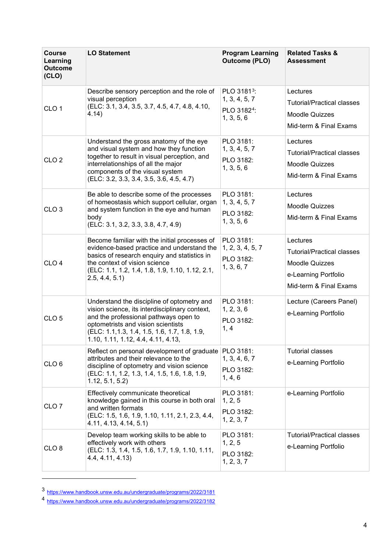| <b>Course</b><br>Learning<br><b>Outcome</b><br>(CLO) | <b>LO Statement</b>                                                                                                                                                                                                                                                | <b>Program Learning</b><br><b>Outcome (PLO)</b>                                   | <b>Related Tasks &amp;</b><br><b>Assessment</b>                                                                          |
|------------------------------------------------------|--------------------------------------------------------------------------------------------------------------------------------------------------------------------------------------------------------------------------------------------------------------------|-----------------------------------------------------------------------------------|--------------------------------------------------------------------------------------------------------------------------|
| CLO <sub>1</sub>                                     | Describe sensory perception and the role of<br>visual perception<br>(ELC: 3.1, 3.4, 3.5, 3.7, 4.5, 4.7, 4.8, 4.10,<br>4.14)                                                                                                                                        | PLO 3181 <sup>3</sup> :<br>1, 3, 4, 5, 7<br>PLO 3182 <sup>4</sup> :<br>1, 3, 5, 6 | Lectures<br><b>Tutorial/Practical classes</b><br><b>Moodle Quizzes</b><br>Mid-term & Final Exams                         |
| CLO <sub>2</sub>                                     | Understand the gross anatomy of the eye<br>and visual system and how they function<br>together to result in visual perception, and<br>interrelationships of all the major<br>components of the visual system<br>(ELC: 3.2, 3.3, 3.4, 3.5, 3.6, 4.5, 4.7)           | PLO 3181:<br>1, 3, 4, 5, 7<br>PLO 3182:<br>1, 3, 5, 6                             | Lectures<br><b>Tutorial/Practical classes</b><br>Moodle Quizzes<br>Mid-term & Final Exams                                |
| CLO <sub>3</sub>                                     | Be able to describe some of the processes<br>of homeostasis which support cellular, organ<br>and system function in the eye and human<br>body<br>(ELC: 3.1, 3.2, 3.3, 3.8, 4.7, 4.9)                                                                               | PLO 3181:<br>1, 3, 4, 5, 7<br>PLO 3182:<br>1, 3, 5, 6                             | Lectures<br><b>Moodle Quizzes</b><br>Mid-term & Final Exams                                                              |
| CLO <sub>4</sub>                                     | Become familiar with the initial processes of<br>evidence-based practice and understand the<br>basics of research enquiry and statistics in<br>the context of vision science<br>(ELC: 1.1, 1.2, 1.4, 1.8, 1.9, 1.10, 1.12, 2.1,<br>2.5, 4.4, 5.1                   | PLO 3181:<br>1, 2, 3, 4, 5, 7<br>PLO 3182:<br>1, 3, 6, 7                          | Lectures<br><b>Tutorial/Practical classes</b><br><b>Moodle Quizzes</b><br>e-Learning Portfolio<br>Mid-term & Final Exams |
| CLO <sub>5</sub>                                     | Understand the discipline of optometry and<br>vision science, its interdisciplinary context,<br>and the professional pathways open to<br>optometrists and vision scientists<br>(ELC: 1.1, 1.3, 1.4, 1.5, 1.6, 1.7, 1.8, 1.9,<br>1.10, 1.11, 1.12, 4.4, 4.11, 4.13, | PLO 3181:<br>1, 2, 3, 6<br>PLO 3182:<br>1, 4                                      | Lecture (Careers Panel)<br>e-Learning Portfolio                                                                          |
| CLO <sub>6</sub>                                     | Reflect on personal development of graduate   PLO 3181:<br>attributes and their relevance to the<br>discipline of optometry and vision science<br>(ELC: 1.1, 1.2, 1.3, 1.4, 1.5, 1.6, 1.8, 1.9,<br>1.12, 5.1, 5.2)                                                 | 1, 3, 4, 6, 7<br>PLO 3182:<br>1, 4, 6                                             | <b>Tutorial classes</b><br>e-Learning Portfolio                                                                          |
| CLO <sub>7</sub>                                     | Effectively communicate theoretical<br>knowledge gained in this course in both oral<br>and written formats<br>(ELC: 1.5, 1.6, 1.9, 1.10, 1.11, 2.1, 2.3, 4.4,<br>4.11, 4.13, 4.14, 5.1)                                                                            | PLO 3181:<br>1, 2, 5<br>PLO 3182:<br>1, 2, 3, 7                                   | e-Learning Portfolio                                                                                                     |
| CLO <sub>8</sub>                                     | Develop team working skills to be able to<br>effectively work with others<br>(ELC: 1.3, 1.4, 1.5, 1.6, 1.7, 1.9, 1.10, 1.11,<br>4.4, 4.11, 4.13)                                                                                                                   | PLO 3181:<br>1, 2, 5<br>PLO 3182:<br>1, 2, 3, 7                                   | <b>Tutorial/Practical classes</b><br>e-Learning Portfolio                                                                |

<span id="page-3-0"></span><sup>3</sup> <https://www.handbook.unsw.edu.au/undergraduate/programs/2022/3181>

<span id="page-3-1"></span><sup>4</sup> <https://www.handbook.unsw.edu.au/undergraduate/programs/2022/3182>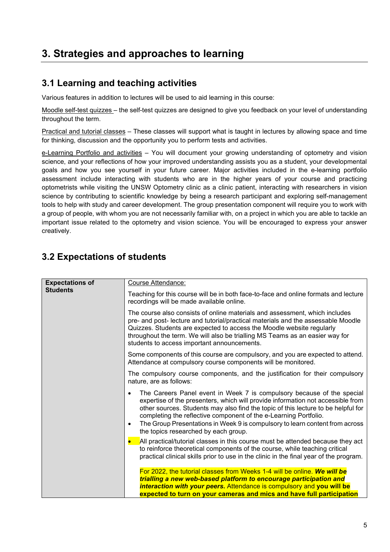### **3. Strategies and approaches to learning**

#### **3.1 Learning and teaching activities**

Various features in addition to lectures will be used to aid learning in this course:

Moodle self-test quizzes – the self-test quizzes are designed to give you feedback on your level of understanding throughout the term.

Practical and tutorial classes – These classes will support what is taught in lectures by allowing space and time for thinking, discussion and the opportunity you to perform tests and activities.

e-Learning Portfolio and activities - You will document your growing understanding of optometry and vision science, and your reflections of how your improved understanding assists you as a student, your developmental goals and how you see yourself in your future career. Major activities included in the e-learning portfolio assessment include interacting with students who are in the higher years of your course and practicing optometrists while visiting the UNSW Optometry clinic as a clinic patient, interacting with researchers in vision science by contributing to scientific knowledge by being a research participant and exploring self-management tools to help with study and career development. The group presentation component will require you to work with a group of people, with whom you are not necessarily familiar with, on a project in which you are able to tackle an important issue related to the optometry and vision science. You will be encouraged to express your answer creatively.

### **3.2 Expectations of students**

| <b>Expectations of</b> | Course Attendance:                                                                                                                                                                                                                                                                                                                                                                                                                                           |
|------------------------|--------------------------------------------------------------------------------------------------------------------------------------------------------------------------------------------------------------------------------------------------------------------------------------------------------------------------------------------------------------------------------------------------------------------------------------------------------------|
| <b>Students</b>        | Teaching for this course will be in both face-to-face and online formats and lecture<br>recordings will be made available online.                                                                                                                                                                                                                                                                                                                            |
|                        | The course also consists of online materials and assessment, which includes<br>pre- and post- lecture and tutorial/practical materials and the assessable Moodle<br>Quizzes. Students are expected to access the Moodle website regularly<br>throughout the term. We will also be trialling MS Teams as an easier way for<br>students to access important announcements.                                                                                     |
|                        | Some components of this course are compulsory, and you are expected to attend.<br>Attendance at compulsory course components will be monitored.                                                                                                                                                                                                                                                                                                              |
|                        | The compulsory course components, and the justification for their compulsory<br>nature, are as follows:                                                                                                                                                                                                                                                                                                                                                      |
|                        | The Careers Panel event in Week 7 is compulsory because of the special<br>٠<br>expertise of the presenters, which will provide information not accessible from<br>other sources. Students may also find the topic of this lecture to be helpful for<br>completing the reflective component of the e-Learning Portfolio.<br>The Group Presentations in Week 9 is compulsory to learn content from across<br>$\bullet$<br>the topics researched by each group. |
|                        | All practical/tutorial classes in this course must be attended because they act<br>$\bullet$<br>to reinforce theoretical components of the course, while teaching critical<br>practical clinical skills prior to use in the clinic in the final year of the program.                                                                                                                                                                                         |
|                        | For 2022, the tutorial classes from Weeks 1-4 will be online. We will be<br>trialling a new web-based platform to encourage participation and<br><i>interaction with your peers.</i> Attendance is compulsory and you will be<br>expected to turn on your cameras and mics and have full participation                                                                                                                                                       |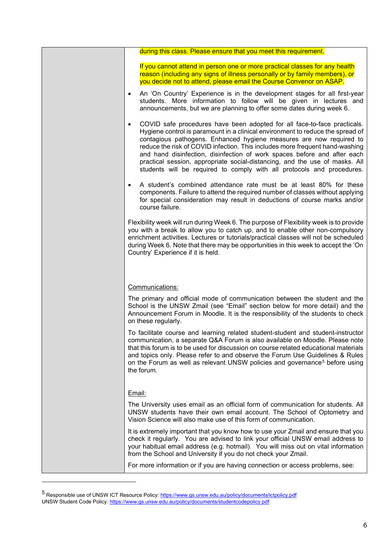|           | during this class. Please ensure that you meet this requirement.                                                                                                                                                                                                                                                                                                                                                                                                                                                                                       |
|-----------|--------------------------------------------------------------------------------------------------------------------------------------------------------------------------------------------------------------------------------------------------------------------------------------------------------------------------------------------------------------------------------------------------------------------------------------------------------------------------------------------------------------------------------------------------------|
|           | If you cannot attend in person one or more practical classes for any health<br>reason (including any signs of illness personally or by family members), or<br>you decide not to attend, please email the Course Convenor on ASAP.                                                                                                                                                                                                                                                                                                                      |
| $\bullet$ | An 'On Country' Experience is in the development stages for all first-year<br>students. More information to follow will be given in lectures and<br>announcements, but we are planning to offer some dates during week 6.                                                                                                                                                                                                                                                                                                                              |
| $\bullet$ | COVID safe procedures have been adopted for all face-to-face practicals.<br>Hygiene control is paramount in a clinical environment to reduce the spread of<br>contagious pathogens. Enhanced hygiene measures are now required to<br>reduce the risk of COVID infection. This includes more frequent hand-washing<br>and hand disinfection, disinfection of work spaces before and after each<br>practical session, appropriate social-distancing, and the use of masks. All<br>students will be required to comply with all protocols and procedures. |
|           | A student's combined attendance rate must be at least 80% for these<br>components. Failure to attend the required number of classes without applying<br>for special consideration may result in deductions of course marks and/or<br>course failure.                                                                                                                                                                                                                                                                                                   |
|           | Flexibility week will run during Week 6. The purpose of Flexibility week is to provide<br>you with a break to allow you to catch up, and to enable other non-compulsory<br>enrichment activities. Lectures or tutorials/practical classes will not be scheduled<br>during Week 6. Note that there may be opportunities in this week to accept the 'On<br>Country' Experience if it is held.                                                                                                                                                            |
|           | Communications:                                                                                                                                                                                                                                                                                                                                                                                                                                                                                                                                        |
|           | The primary and official mode of communication between the student and the<br>School is the UNSW Zmail (see "Email" section below for more detail) and the<br>Announcement Forum in Moodle. It is the responsibility of the students to check<br>on these regularly.                                                                                                                                                                                                                                                                                   |
|           | To facilitate course and learning related student-student and student-instructor<br>communication, a separate Q&A Forum is also available on Moodle. Please note<br>that this forum is to be used for discussion on course related educational materials<br>and topics only. Please refer to and observe the Forum Use Guidelines & Rules<br>on the Forum as well as relevant UNSW policies and governance <sup>5</sup> before using<br>the forum.                                                                                                     |
| Email:    |                                                                                                                                                                                                                                                                                                                                                                                                                                                                                                                                                        |
|           | The University uses email as an official form of communication for students. All<br>UNSW students have their own email account. The School of Optometry and<br>Vision Science will also make use of this form of communication.                                                                                                                                                                                                                                                                                                                        |
|           | It is extremely important that you know how to use your Zmail and ensure that you<br>check it regularly. You are advised to link your official UNSW email address to<br>your habitual email address (e.g. hotmail). You will miss out on vital information<br>from the School and University if you do not check your Zmail.                                                                                                                                                                                                                           |
|           | For more information or if you are having connection or access problems, see:                                                                                                                                                                                                                                                                                                                                                                                                                                                                          |
|           |                                                                                                                                                                                                                                                                                                                                                                                                                                                                                                                                                        |

<span id="page-5-0"></span><sup>5&</sup>lt;br>Responsible use of UNSW ICT Resource Policy: <u>https://www.gs.unsw.edu.au/policy/documents/ictpolicy.pdf</u> UNSW Student Code Policy[: https://www.gs.unsw.edu.au/policy/documents/studentcodepolicy.pdf](https://www.gs.unsw.edu.au/policy/documents/studentcodepolicy.pdf)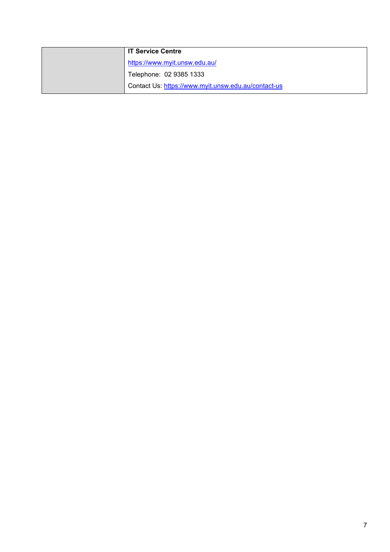| <b>IT Service Centre</b>                            |
|-----------------------------------------------------|
| https://www.myit.unsw.edu.au/                       |
| Telephone: 02 9385 1333                             |
| Contact Us: https://www.myit.unsw.edu.au/contact-us |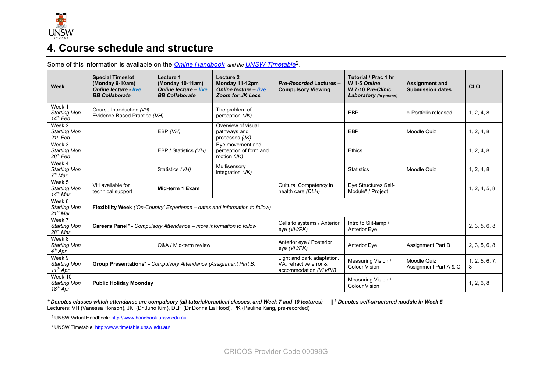

### **4. Course schedule and structure**

| <b>Week</b>                                                     | <b>Special Timeslot</b><br>(Monday 9-10am)<br><b>Online lecture - live</b><br><b>BB Collaborate</b> | Lecture 1<br>(Monday 10-11am)<br><b>Online lecture - live</b><br><b>BB Collaborate</b> | Lecture 2<br>Monday 11-12pm<br><b>Online lecture - live</b><br><b>Zoom for JK Lecs</b> | <b>Pre-Recorded Lectures -</b><br><b>Compulsory Viewing</b> | Tutorial / Prac 1 hr<br>W 1-5 Online<br>W 7-10 Pre-Clinic<br>Laboratory (in person) | <b>Assignment and</b><br><b>Submission dates</b> | <b>CLO</b>    |
|-----------------------------------------------------------------|-----------------------------------------------------------------------------------------------------|----------------------------------------------------------------------------------------|----------------------------------------------------------------------------------------|-------------------------------------------------------------|-------------------------------------------------------------------------------------|--------------------------------------------------|---------------|
| Week 1<br><b>Starting Mon</b><br>$14th$ Feb                     | Course Introduction (VH)<br>Evidence-Based Practice (VH)                                            |                                                                                        | The problem of<br>perception (JK)                                                      |                                                             | EBP                                                                                 | e-Portfolio released                             | 1, 2, 4, 8    |
| Week 2<br><b>Starting Mon</b><br>$21^{st}$ Feb                  |                                                                                                     | EBP (VH)                                                                               | Overview of visual<br>pathways and<br>processes (JK)                                   |                                                             | <b>EBP</b>                                                                          | Moodle Quiz                                      | 1, 2, 4, 8    |
| $\overline{\text{Week}}$ 3<br><b>Starting Mon</b><br>$28th$ Feb |                                                                                                     | EBP / Statistics (VH)                                                                  | Eye movement and<br>perception of form and<br>motion $(JK)$                            |                                                             | Ethics                                                                              |                                                  | 1, 2, 4, 8    |
| Week 4<br><b>Starting Mon</b><br>$7th$ Mar                      |                                                                                                     | Statistics (VH)                                                                        | Multisensory<br>integration $(JK)$                                                     |                                                             | <b>Statistics</b>                                                                   | Moodle Quiz                                      | 1, 2, 4, 8    |
| Week 5<br><b>Starting Mon</b><br>14 <sup>th</sup> Mar           | VH available for<br>technical support                                                               | Mid-term 1 Exam                                                                        |                                                                                        | Cultural Competency in<br>health care (DLH)                 | Eye Structures Self-<br>Module# / Project                                           |                                                  | 1, 2, 4, 5, 8 |
| Week 6<br><b>Starting Mon</b><br>21st Mar                       | Flexibility Week ('On-Country' Experience - dates and information to follow)                        |                                                                                        |                                                                                        |                                                             |                                                                                     |                                                  |               |
| Week 7<br><b>Starting Mon</b><br>28 <sup>th</sup> Mar           | Careers Panel* - Compulsory Attendance - more information to follow                                 |                                                                                        | Cells to systems / Anterior<br>eye (VH/PK)                                             | Intro to Slit-lamp /<br><b>Anterior Eye</b>                 |                                                                                     | 2, 3, 5, 6, 8                                    |               |
| Week 8<br><b>Starting Mon</b><br>$4th$ Apr                      |                                                                                                     | Q&A / Mid-term review                                                                  |                                                                                        | Anterior eye / Posterior<br>eye (VH/PK)                     | <b>Anterior Eye</b>                                                                 | <b>Assignment Part B</b>                         | 2, 3, 5, 6, 8 |
| Week 9<br><b>Starting Mon</b><br>$11^{th}$ Apr                  | Group Presentations* - Compulsory Attendance (Assignment Part B)                                    |                                                                                        | Light and dark adaptation,<br>VA, refractive error &<br>accommodation (VH/PK)          | Measuring Vision /<br><b>Colour Vision</b>                  | Moodle Quiz<br>Assignment Part A & C                                                | 1, 2, 5, 6, 7,<br>8                              |               |
| Week 10<br><b>Starting Mon</b><br>18 <sup>th</sup> Apr          | <b>Public Holiday Moonday</b>                                                                       |                                                                                        |                                                                                        | Measuring Vision /<br><b>Colour Vision</b>                  |                                                                                     | 1, 2, 6, 8                                       |               |

Some of this information is available on the *Online Handbook<sup>1</sup> and the UNSW Timetable*<sup>2</sup>.

*\* Denotes classes which attendance are compulsory (all tutorial/practical classes, and Week 7 and 10 lectures)* || *# Denotes self-structured module in Week 5* Lecturers: VH (Vanessa Honson), JK: (Dr Juno Kim), DLH (Dr Donna La Hood), PK (Pauline Kang, pre-recorded)

1 UNSW Virtual Handbook[: http://www.handbook.unsw.edu.au](https://www.handbook.unsw.edu.au/)

2 UNSW Timetable[: http://www.timetable.unsw.edu.au/](http://www.timetable.unsw.edu.au/)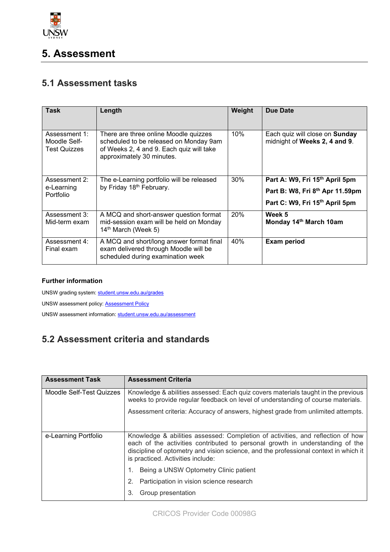

### **5. Assessment**

#### **5.1 Assessment tasks**

| <b>Task</b>                                          | Length                                                                                                                                                   | Weight     | <b>Due Date</b>                                                 |
|------------------------------------------------------|----------------------------------------------------------------------------------------------------------------------------------------------------------|------------|-----------------------------------------------------------------|
| Assessment 1:<br>Moodle Self-<br><b>Test Quizzes</b> | There are three online Moodle quizzes<br>scheduled to be released on Monday 9am<br>of Weeks 2, 4 and 9. Each quiz will take<br>approximately 30 minutes. | 10%        | Each quiz will close on Sunday<br>midnight of Weeks 2, 4 and 9. |
| Assessment 2:                                        | The e-Learning portfolio will be released                                                                                                                | 30%        | Part A: W9, Fri 15th April 5pm                                  |
| e-Learning<br>Portfolio                              | by Friday 18th February.                                                                                                                                 |            | Part B: W8, Fri 8th Apr 11.59pm                                 |
|                                                      |                                                                                                                                                          |            | Part C: W9, Fri 15th April 5pm                                  |
| Assessment 3:<br>Mid-term exam                       | A MCQ and short-answer question format<br>mid-session exam will be held on Monday<br>14 <sup>th</sup> March (Week 5)                                     | <b>20%</b> | Week 5<br>Monday 14th March 10am                                |
| Assessment 4:<br>Final exam                          | A MCQ and short/long answer format final<br>exam delivered through Moodle will be<br>scheduled during examination week                                   | 40%        | <b>Exam period</b>                                              |

#### **Further information**

UNSW grading system[: student.unsw.edu.au/grades](https://student.unsw.edu.au/grades)

UNSW assessment policy[: Assessment Policy](https://www.gs.unsw.edu.au/policy/documents/assessmentpolicy.pdf)

UNSW assessment information[: student.unsw.edu.au/assessment](https://student.unsw.edu.au/assessment)

### **5.2 Assessment criteria and standards**

| <b>Assessment Task</b>   | <b>Assessment Criteria</b>                                                                                                                                                                                                                                                                    |
|--------------------------|-----------------------------------------------------------------------------------------------------------------------------------------------------------------------------------------------------------------------------------------------------------------------------------------------|
| Moodle Self-Test Quizzes | Knowledge & abilities assessed: Each quiz covers materials taught in the previous<br>weeks to provide regular feedback on level of understanding of course materials.                                                                                                                         |
|                          | Assessment criteria: Accuracy of answers, highest grade from unlimited attempts.                                                                                                                                                                                                              |
| e-Learning Portfolio     | Knowledge & abilities assessed: Completion of activities, and reflection of how<br>each of the activities contributed to personal growth in understanding of the<br>discipline of optometry and vision science, and the professional context in which it<br>is practiced. Activities include: |
|                          | Being a UNSW Optometry Clinic patient                                                                                                                                                                                                                                                         |
|                          | Participation in vision science research<br>2.                                                                                                                                                                                                                                                |
|                          | 3.<br>Group presentation                                                                                                                                                                                                                                                                      |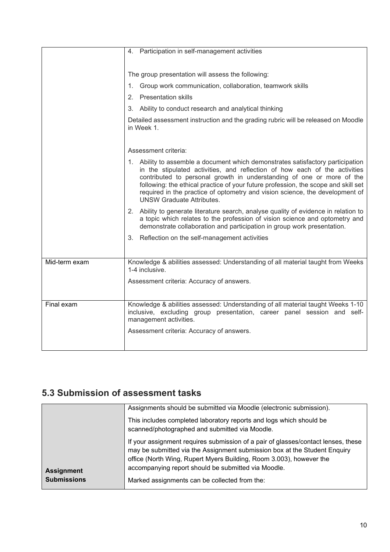|               | 4. Participation in self-management activities                                                                                                                                                                                                                                                                                                                                                                                                   |  |  |
|---------------|--------------------------------------------------------------------------------------------------------------------------------------------------------------------------------------------------------------------------------------------------------------------------------------------------------------------------------------------------------------------------------------------------------------------------------------------------|--|--|
|               |                                                                                                                                                                                                                                                                                                                                                                                                                                                  |  |  |
|               |                                                                                                                                                                                                                                                                                                                                                                                                                                                  |  |  |
|               | The group presentation will assess the following:                                                                                                                                                                                                                                                                                                                                                                                                |  |  |
|               | Group work communication, collaboration, teamwork skills<br>1.                                                                                                                                                                                                                                                                                                                                                                                   |  |  |
|               | 2. Presentation skills                                                                                                                                                                                                                                                                                                                                                                                                                           |  |  |
|               | 3. Ability to conduct research and analytical thinking                                                                                                                                                                                                                                                                                                                                                                                           |  |  |
|               | Detailed assessment instruction and the grading rubric will be released on Moodle<br>in Week 1.                                                                                                                                                                                                                                                                                                                                                  |  |  |
|               | Assessment criteria:                                                                                                                                                                                                                                                                                                                                                                                                                             |  |  |
|               | 1. Ability to assemble a document which demonstrates satisfactory participation<br>in the stipulated activities, and reflection of how each of the activities<br>contributed to personal growth in understanding of one or more of the<br>following: the ethical practice of your future profession, the scope and skill set<br>required in the practice of optometry and vision science, the development of<br><b>UNSW Graduate Attributes.</b> |  |  |
|               | 2. Ability to generate literature search, analyse quality of evidence in relation to<br>a topic which relates to the profession of vision science and optometry and<br>demonstrate collaboration and participation in group work presentation.                                                                                                                                                                                                   |  |  |
|               | 3. Reflection on the self-management activities                                                                                                                                                                                                                                                                                                                                                                                                  |  |  |
|               |                                                                                                                                                                                                                                                                                                                                                                                                                                                  |  |  |
| Mid-term exam | Knowledge & abilities assessed: Understanding of all material taught from Weeks<br>1-4 inclusive.                                                                                                                                                                                                                                                                                                                                                |  |  |
|               | Assessment criteria: Accuracy of answers.                                                                                                                                                                                                                                                                                                                                                                                                        |  |  |
|               |                                                                                                                                                                                                                                                                                                                                                                                                                                                  |  |  |
| Final exam    | Knowledge & abilities assessed: Understanding of all material taught Weeks 1-10<br>inclusive, excluding group presentation, career panel session and self-<br>management activities.                                                                                                                                                                                                                                                             |  |  |
|               | Assessment criteria: Accuracy of answers.                                                                                                                                                                                                                                                                                                                                                                                                        |  |  |
|               |                                                                                                                                                                                                                                                                                                                                                                                                                                                  |  |  |

### **5.3 Submission of assessment tasks**

|                    | Assignments should be submitted via Moodle (electronic submission).                                                                                                                                                                                                                          |
|--------------------|----------------------------------------------------------------------------------------------------------------------------------------------------------------------------------------------------------------------------------------------------------------------------------------------|
|                    | This includes completed laboratory reports and logs which should be<br>scanned/photographed and submitted via Moodle.                                                                                                                                                                        |
| <b>Assignment</b>  | If your assignment requires submission of a pair of glasses/contact lenses, these<br>may be submitted via the Assignment submission box at the Student Enquiry<br>office (North Wing, Rupert Myers Building, Room 3.003), however the<br>accompanying report should be submitted via Moodle. |
| <b>Submissions</b> | Marked assignments can be collected from the:                                                                                                                                                                                                                                                |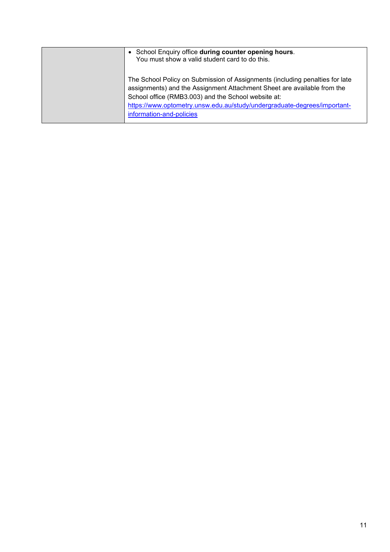| • School Enquiry office during counter opening hours.<br>You must show a valid student card to do this.                                                                                                                                                                                                                |
|------------------------------------------------------------------------------------------------------------------------------------------------------------------------------------------------------------------------------------------------------------------------------------------------------------------------|
| The School Policy on Submission of Assignments (including penalties for late<br>assignments) and the Assignment Attachment Sheet are available from the<br>School office (RMB3.003) and the School website at:<br>https://www.optometry.unsw.edu.au/study/undergraduate-degrees/important-<br>information-and-policies |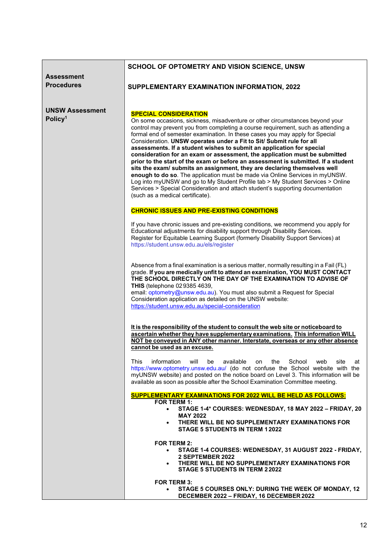|                                               | SCHOOL OF OPTOMETRY AND VISION SCIENCE, UNSW                                                                                                                                                                                                                                                                                                                                                                                                                                                                                                                                                                                                                                                                                                                          |
|-----------------------------------------------|-----------------------------------------------------------------------------------------------------------------------------------------------------------------------------------------------------------------------------------------------------------------------------------------------------------------------------------------------------------------------------------------------------------------------------------------------------------------------------------------------------------------------------------------------------------------------------------------------------------------------------------------------------------------------------------------------------------------------------------------------------------------------|
| <b>Assessment</b>                             |                                                                                                                                                                                                                                                                                                                                                                                                                                                                                                                                                                                                                                                                                                                                                                       |
| <b>Procedures</b>                             | SUPPLEMENTARY EXAMINATION INFORMATION, 2022                                                                                                                                                                                                                                                                                                                                                                                                                                                                                                                                                                                                                                                                                                                           |
|                                               |                                                                                                                                                                                                                                                                                                                                                                                                                                                                                                                                                                                                                                                                                                                                                                       |
| <b>UNSW Assessment</b><br>Policy <sup>1</sup> | <b>SPECIAL CONSIDERATION</b><br>On some occasions, sickness, misadventure or other circumstances beyond your<br>control may prevent you from completing a course requirement, such as attending a                                                                                                                                                                                                                                                                                                                                                                                                                                                                                                                                                                     |
|                                               | formal end of semester examination. In these cases you may apply for Special<br>Consideration. UNSW operates under a Fit to Sit/ Submit rule for all<br>assessments. If a student wishes to submit an application for special<br>consideration for an exam or assessment, the application must be submitted<br>prior to the start of the exam or before an assessment is submitted. If a student<br>sits the exam/ submits an assignment, they are declaring themselves well<br>enough to do so. The application must be made via Online Services in myUNSW.<br>Log into myUNSW and go to My Student Profile tab > My Student Services > Online<br>Services > Special Consideration and attach student's supporting documentation<br>(such as a medical certificate). |
|                                               | <b>CHRONIC ISSUES AND PRE-EXISTING CONDITIONS</b>                                                                                                                                                                                                                                                                                                                                                                                                                                                                                                                                                                                                                                                                                                                     |
|                                               | If you have chronic issues and pre-existing conditions, we recommend you apply for<br>Educational adjustments for disability support through Disability Services.<br>Register for Equitable Learning Support (formerly Disability Support Services) at<br>https://student.unsw.edu.au/els/register                                                                                                                                                                                                                                                                                                                                                                                                                                                                    |
|                                               | Absence from a final examination is a serious matter, normally resulting in a Fail (FL)<br>grade. If you are medically unfit to attend an examination, YOU MUST CONTACT<br>THE SCHOOL DIRECTLY ON THE DAY OF THE EXAMINATION TO ADVISE OF<br><b>THIS</b> (telephone 02 9385 4639,<br>email: optometry@unsw.edu.au). You must also submit a Request for Special<br>Consideration application as detailed on the UNSW website:<br>https://student.unsw.edu.au/special-consideration                                                                                                                                                                                                                                                                                     |
|                                               | It is the responsibility of the student to consult the web site or noticeboard to<br>ascertain whether they have supplementary examinations. This information WILL<br>NOT be conveyed in ANY other manner. Interstate, overseas or any other absence<br>cannot be used as an excuse.                                                                                                                                                                                                                                                                                                                                                                                                                                                                                  |
|                                               | This<br>information<br>will<br>be<br>available<br>on the School<br>web<br>site<br>at<br>https://www.optometry.unsw.edu.au/ (do not confuse the School website with the<br>myUNSW website) and posted on the notice board on Level 3. This information will be<br>available as soon as possible after the School Examination Committee meeting.                                                                                                                                                                                                                                                                                                                                                                                                                        |
|                                               | <b>SUPPLEMENTARY EXAMINATIONS FOR 2022 WILL BE HELD AS FOLLOWS:</b><br><b>FOR TERM 1:</b><br>STAGE 1-4* COURSES: WEDNESDAY, 18 MAY 2022 - FRIDAY, 20<br>$\bullet$<br><b>MAY 2022</b><br>THERE WILL BE NO SUPPLEMENTARY EXAMINATIONS FOR<br>$\bullet$<br><b>STAGE 5 STUDENTS IN TERM 12022</b>                                                                                                                                                                                                                                                                                                                                                                                                                                                                         |
|                                               | <b>FOR TERM 2:</b><br>STAGE 1-4 COURSES: WEDNESDAY, 31 AUGUST 2022 - FRIDAY,<br>2 SEPTEMBER 2022<br>THERE WILL BE NO SUPPLEMENTARY EXAMINATIONS FOR<br><b>STAGE 5 STUDENTS IN TERM 22022</b>                                                                                                                                                                                                                                                                                                                                                                                                                                                                                                                                                                          |
|                                               | <b>FOR TERM 3:</b><br>STAGE 5 COURSES ONLY: DURING THE WEEK OF MONDAY, 12<br>DECEMBER 2022 - FRIDAY, 16 DECEMBER 2022                                                                                                                                                                                                                                                                                                                                                                                                                                                                                                                                                                                                                                                 |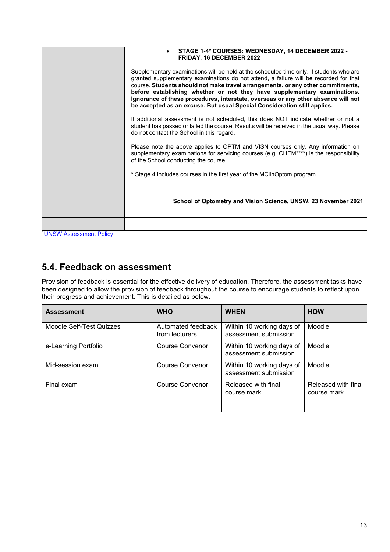|                            | STAGE 1-4* COURSES: WEDNESDAY, 14 DECEMBER 2022 -<br>FRIDAY, 16 DECEMBER 2022                                                                                                                                                                                                                                                                                                                                                                                                                                    |
|----------------------------|------------------------------------------------------------------------------------------------------------------------------------------------------------------------------------------------------------------------------------------------------------------------------------------------------------------------------------------------------------------------------------------------------------------------------------------------------------------------------------------------------------------|
|                            | Supplementary examinations will be held at the scheduled time only. If students who are<br>granted supplementary examinations do not attend, a failure will be recorded for that<br>course. Students should not make travel arrangements, or any other commitments,<br>before establishing whether or not they have supplementary examinations.<br>Ignorance of these procedures, interstate, overseas or any other absence will not<br>be accepted as an excuse. But usual Special Consideration still applies. |
|                            | If additional assessment is not scheduled, this does NOT indicate whether or not a<br>student has passed or failed the course. Results will be received in the usual way. Please<br>do not contact the School in this regard.                                                                                                                                                                                                                                                                                    |
|                            | Please note the above applies to OPTM and VISN courses only. Any information on<br>supplementary examinations for servicing courses (e.g. CHEM****) is the responsibility<br>of the School conducting the course.                                                                                                                                                                                                                                                                                                |
|                            | * Stage 4 includes courses in the first year of the MClinOptom program.                                                                                                                                                                                                                                                                                                                                                                                                                                          |
|                            | School of Optometry and Vision Science, UNSW, 23 November 2021                                                                                                                                                                                                                                                                                                                                                                                                                                                   |
|                            |                                                                                                                                                                                                                                                                                                                                                                                                                                                                                                                  |
| 11 INCIN Accorporat Deliau |                                                                                                                                                                                                                                                                                                                                                                                                                                                                                                                  |

#### **UNSW Assessment Policy**

#### **5.4. Feedback on assessment**

Provision of feedback is essential for the effective delivery of education. Therefore, the assessment tasks have been designed to allow the provision of feedback throughout the course to encourage students to reflect upon their progress and achievement. This is detailed as below.

| <b>Assessment</b>        | <b>WHO</b>                           | <b>WHEN</b>                                        | <b>HOW</b>                         |
|--------------------------|--------------------------------------|----------------------------------------------------|------------------------------------|
| Moodle Self-Test Quizzes | Automated feedback<br>from lecturers | Within 10 working days of<br>assessment submission | Moodle                             |
| e-Learning Portfolio     | Course Convenor                      | Within 10 working days of<br>assessment submission | Moodle                             |
| Mid-session exam         | Course Convenor                      | Within 10 working days of<br>assessment submission | Moodle                             |
| Final exam               | Course Convenor                      | Released with final<br>course mark                 | Released with final<br>course mark |
|                          |                                      |                                                    |                                    |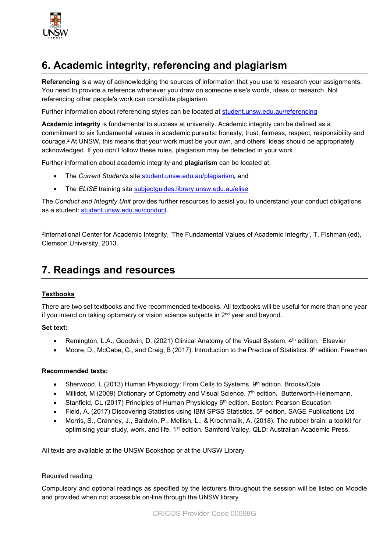

### **6. Academic integrity, referencing and plagiarism**

**Referencing** is a way of acknowledging the sources of information that you use to research your assignments. You need to provide a reference whenever you draw on someone else's words, ideas or research. Not referencing other people's work can constitute plagiarism.

Further information about referencing styles can be located at [student.unsw.edu.au/referencing](https://student.unsw.edu.au/referencing)

**Academic integrity** is fundamental to success at university. Academic integrity can be defined as a commitment to six fundamental values in academic pursuits**:** honesty, trust, fairness, respect, responsibility and courage.2 At UNSW, this means that your work must be your own, and others' ideas should be appropriately acknowledged. If you don't follow these rules, plagiarism may be detected in your work.

Further information about academic integrity and **plagiarism** can be located at:

- The *Current Students* site [student.unsw.edu.au/plagiarism](https://student.unsw.edu.au/plagiarism)*,* and
- The **ELISE** training site [subjectguides.library.unsw.edu.au/elise](http://subjectguides.library.unsw.edu.au/elise)

The *Conduct and Integrity Unit* provides further resources to assist you to understand your conduct obligations as a student: [student.unsw.edu.au/conduct.](https://student.unsw.edu.au/conduct)

2International Center for Academic Integrity, 'The Fundamental Values of Academic Integrity', T. Fishman (ed), Clemson University, 2013.

#### **7. Readings and resources**

#### **Textbooks**

There are two set textbooks and five recommended textbooks. All textbooks will be useful for more than one year if you intend on taking optometry or vision science subjects in  $2<sup>nd</sup>$  year and beyond.

#### **Set text:**

- Remington, L.A., Goodwin, D. (2021) Clinical Anatomy of the Visual System. 4<sup>th</sup> edition. Elsevier
- Moore, D., McCabe, G., and Craig, B (2017). Introduction to the Practice of Statistics.  $9<sup>th</sup>$  edition. Freeman

#### **Recommended texts:**

- Sherwood, L (2013) Human Physiology: From Cells to Systems. 9th edition. Brooks/Cole
- Millidot, M (2009) Dictionary of Optometry and Visual Science. 7th edition**.** Butterworth-Heinemann.
- Stanfield, CL (2017) Principles of Human Physiology 6<sup>th</sup> edition. Boston: Pearson Education
- Field, A. (2017) Discovering Statistics using IBM SPSS Statistics. 5<sup>th</sup> edition. SAGE Publications Ltd
- Morris, S., Cranney, J., Baldwin, P., Mellish, L., & Krochmalik, A. (2018). The rubber brain: a toolkit for optimising your study, work, and life. 1<sup>st</sup> edition. Samford Valley, QLD: Australian Academic Press.

All texts are available at the UNSW Bookshop or at the UNSW Library

#### Required reading

Compulsory and optional readings as specified by the lecturers throughout the session will be listed on Moodle and provided when not accessible on-line through the UNSW library.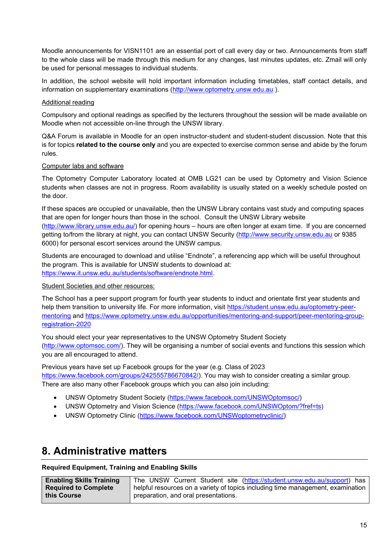Moodle announcements for VISN1101 are an essential port of call every day or two. Announcements from staff to the whole class will be made through this medium for any changes, last minutes updates, etc. Zmail will only be used for personal messages to individual students.

In addition, the school website will hold important information including timetables, staff contact details, and information on supplementary examinations [\(http://www.optometry.unsw.edu.au](http://www.optometry.unsw.edu.au/)).

#### Additional reading

Compulsory and optional readings as specified by the lecturers throughout the session will be made available on Moodle when not accessible on-line through the UNSW library.

Q&A Forum is available in Moodle for an open instructor-student and student-student discussion. Note that this is for topics **related to the course only** and you are expected to exercise common sense and abide by the forum rules.

#### Computer labs and software

The Optometry Computer Laboratory located at OMB LG21 can be used by Optometry and Vision Science students when classes are not in progress. Room availability is usually stated on a weekly schedule posted on the door.

If these spaces are occupied or unavailable, then the UNSW Library contains vast study and computing spaces that are open for longer hours than those in the school. Consult the UNSW Library website

[\(http://www.library.unsw.edu.au/\)](http://www.library.unsw.edu.au/) for opening hours – hours are often longer at exam time. If you are concerned getting to/from the library at night, you can contact UNSW Security [\(http://www.security.unsw.edu.au](http://www.security.unsw.edu.au/) or 9385 6000) for personal escort services around the UNSW campus.

Students are encouraged to download and utilise "Endnote", a referencing app which will be useful throughout the program. This is available for UNSW students to download at: [https://www.it.unsw.edu.au/students/software/endnote.html.](https://www.it.unsw.edu.au/students/software/endnote.html)

#### Student Societies and other resources:

The School has a peer support program for fourth year students to induct and orientate first year students and help them transition to university life. For more information, visit [https://student.unsw.edu.au/optometry-peer](https://student.unsw.edu.au/optometry-peer-mentoring)[mentoring](https://student.unsw.edu.au/optometry-peer-mentoring) and [https://www.optometry.unsw.edu.au/opportunities/mentoring-and-support/peer-mentoring-group](https://www.optometry.unsw.edu.au/opportunities/mentoring-and-support/peer-mentoring-group-registration-2020)[registration-2020](https://www.optometry.unsw.edu.au/opportunities/mentoring-and-support/peer-mentoring-group-registration-2020)

You should elect your year representatives to the UNSW Optometry Student Society [\(http://www.optomsoc.com/\)](http://www.optomsoc.com/). They will be organising a number of social events and functions this session which you are all encouraged to attend.

Previous years have set up Facebook groups for the year (e.g. Class of 2023 [https://www.facebook.com/groups/242555786670842/\)](https://www.facebook.com/groups/242555786670842/). You may wish to consider creating a similar group. There are also many other Facebook groups which you can also join including:

- UNSW Optometry Student Society [\(https://www.facebook.com/UNSWOptomsoc/\)](https://www.facebook.com/UNSWOptomsoc/)
- UNSW Optometry and Vision Science [\(https://www.facebook.com/UNSWOptom/?fref=ts\)](https://www.facebook.com/UNSWOptom/?fref=ts)
- UNSW Optometry Clinic [\(https://www.facebook.com/UNSWoptometryclinic/\)](https://www.facebook.com/UNSWoptometryclinic/)

### **8. Administrative matters**

#### **Required Equipment, Training and Enabling Skills**

| <b>Enabling Skills Training</b> | The UNSW Current Student site (https://student.unsw.edu.au/support) has         |  |  |
|---------------------------------|---------------------------------------------------------------------------------|--|--|
| <b>Required to Complete</b>     | helpful resources on a variety of topics including time management, examination |  |  |
| this Course                     | preparation, and oral presentations.                                            |  |  |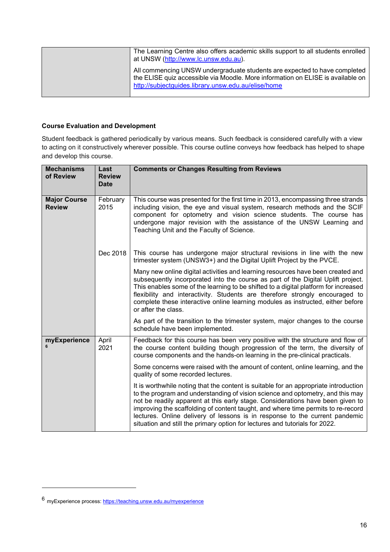| The Learning Centre also offers academic skills support to all students enrolled<br>at UNSW (http://www.lc.unsw.edu.au).                                                                                            |
|---------------------------------------------------------------------------------------------------------------------------------------------------------------------------------------------------------------------|
| All commencing UNSW undergraduate students are expected to have completed<br>the ELISE quiz accessible via Moodle. More information on ELISE is available on<br>http://subjectguides.library.unsw.edu.au/elise/home |

#### **Course Evaluation and Development**

Student feedback is gathered periodically by various means. Such feedback is considered carefully with a view to acting on it constructively wherever possible. This course outline conveys how feedback has helped to shape and develop this course.

| <b>Mechanisms</b><br>of Review       | Last<br><b>Review</b><br><b>Date</b> | <b>Comments or Changes Resulting from Reviews</b>                                                                                                                                                                                                                                                                                                                                                                                                                                                          |
|--------------------------------------|--------------------------------------|------------------------------------------------------------------------------------------------------------------------------------------------------------------------------------------------------------------------------------------------------------------------------------------------------------------------------------------------------------------------------------------------------------------------------------------------------------------------------------------------------------|
| <b>Major Course</b><br><b>Review</b> | February<br>2015                     | This course was presented for the first time in 2013, encompassing three strands<br>including vision, the eye and visual system, research methods and the SCIF<br>component for optometry and vision science students. The course has<br>undergone major revision with the assistance of the UNSW Learning and<br>Teaching Unit and the Faculty of Science.                                                                                                                                                |
|                                      | Dec 2018                             | This course has undergone major structural revisions in line with the new<br>trimester system (UNSW3+) and the Digital Uplift Project by the PVCE.                                                                                                                                                                                                                                                                                                                                                         |
|                                      |                                      | Many new online digital activities and learning resources have been created and<br>subsequently incorporated into the course as part of the Digital Uplift project.<br>This enables some of the learning to be shifted to a digital platform for increased<br>flexibility and interactivity. Students are therefore strongly encouraged to<br>complete these interactive online learning modules as instructed, either before<br>or after the class.                                                       |
|                                      |                                      | As part of the transition to the trimester system, major changes to the course<br>schedule have been implemented.                                                                                                                                                                                                                                                                                                                                                                                          |
| myExperience                         | April<br>2021                        | Feedback for this course has been very positive with the structure and flow of<br>the course content building though progression of the term, the diversity of<br>course components and the hands-on learning in the pre-clinical practicals.                                                                                                                                                                                                                                                              |
|                                      |                                      | Some concerns were raised with the amount of content, online learning, and the<br>quality of some recorded lectures.                                                                                                                                                                                                                                                                                                                                                                                       |
|                                      |                                      | It is worthwhile noting that the content is suitable for an appropriate introduction<br>to the program and understanding of vision science and optometry, and this may<br>not be readily apparent at this early stage. Considerations have been given to<br>improving the scaffolding of content taught, and where time permits to re-record<br>lectures. Online delivery of lessons is in response to the current pandemic<br>situation and still the primary option for lectures and tutorials for 2022. |

<span id="page-15-0"></span><sup>6</sup> myExperience process:<https://teaching.unsw.edu.au/myexperience>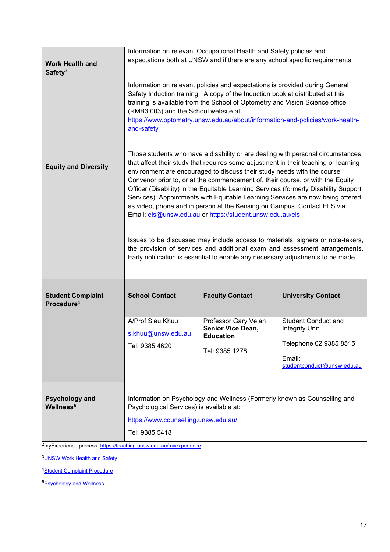| <b>Work Health and</b><br>Safety <sup>3</sup>      | Information on relevant Occupational Health and Safety policies and<br>expectations both at UNSW and if there are any school specific requirements.<br>Information on relevant policies and expectations is provided during General<br>Safety Induction training. A copy of the Induction booklet distributed at this<br>training is available from the School of Optometry and Vision Science office<br>(RMB3.003) and the School website at:<br>https://www.optometry.unsw.edu.au/about/information-and-policies/work-health-<br>and-safety                                                                                                                                                                                                                                                                                                                                                             |                                                                                                                  |                                                                                                                                                    |
|----------------------------------------------------|-----------------------------------------------------------------------------------------------------------------------------------------------------------------------------------------------------------------------------------------------------------------------------------------------------------------------------------------------------------------------------------------------------------------------------------------------------------------------------------------------------------------------------------------------------------------------------------------------------------------------------------------------------------------------------------------------------------------------------------------------------------------------------------------------------------------------------------------------------------------------------------------------------------|------------------------------------------------------------------------------------------------------------------|----------------------------------------------------------------------------------------------------------------------------------------------------|
| <b>Equity and Diversity</b>                        | Those students who have a disability or are dealing with personal circumstances<br>that affect their study that requires some adjustment in their teaching or learning<br>environment are encouraged to discuss their study needs with the course<br>Convenor prior to, or at the commencement of, their course, or with the Equity<br>Officer (Disability) in the Equitable Learning Services (formerly Disability Support<br>Services). Appointments with Equitable Learning Services are now being offered<br>as video, phone and in person at the Kensington Campus. Contact ELS via<br>Email: els@unsw.edu.au or https://student.unsw.edu.au/els<br>Issues to be discussed may include access to materials, signers or note-takers,<br>the provision of services and additional exam and assessment arrangements.<br>Early notification is essential to enable any necessary adjustments to be made. |                                                                                                                  |                                                                                                                                                    |
| <b>Student Complaint</b><br>Procedure <sup>4</sup> | <b>School Contact</b><br>A/Prof Sieu Khuu<br>s.khuu@unsw.edu.au<br>Tel: 9385 4620                                                                                                                                                                                                                                                                                                                                                                                                                                                                                                                                                                                                                                                                                                                                                                                                                         | <b>Faculty Contact</b><br>Professor Gary Velan<br><b>Senior Vice Dean,</b><br><b>Education</b><br>Tel: 9385 1278 | <b>University Contact</b><br><b>Student Conduct and</b><br><b>Integrity Unit</b><br>Telephone 02 9385 8515<br>Email:<br>studentconduct@unsw.edu.au |
| <b>Psychology and</b><br>Wellness <sup>5</sup>     | Psychological Services) is available at:<br>https://www.counselling.unsw.edu.au/<br>Tel: 9385 5418                                                                                                                                                                                                                                                                                                                                                                                                                                                                                                                                                                                                                                                                                                                                                                                                        | Information on Psychology and Wellness (Formerly known as Counselling and                                        |                                                                                                                                                    |

2myExperience process:<https://teaching.unsw.edu.au/myexperience>

3**UNSW Work Health and Safety** 

4**Student Complaint Procedure** 

5**Psychology and Wellness**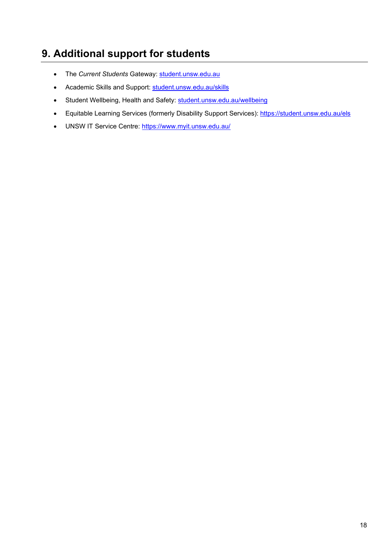### **9. Additional support for students**

- The Current Students Gateway: [student.unsw.edu.au](https://student.unsw.edu.au/)
- Academic Skills and Support: [student.unsw.edu.au/skills](https://student.unsw.edu.au/skills)
- Student Wellbeing, Health and Safety: [student.unsw.edu.au/wellbeing](https://www.student.unsw.edu.au/wellbeing)
- Equitable Learning Services (formerly Disability Support Services): <https://student.unsw.edu.au/els>
- UNSW IT Service Centre:<https://www.myit.unsw.edu.au/>